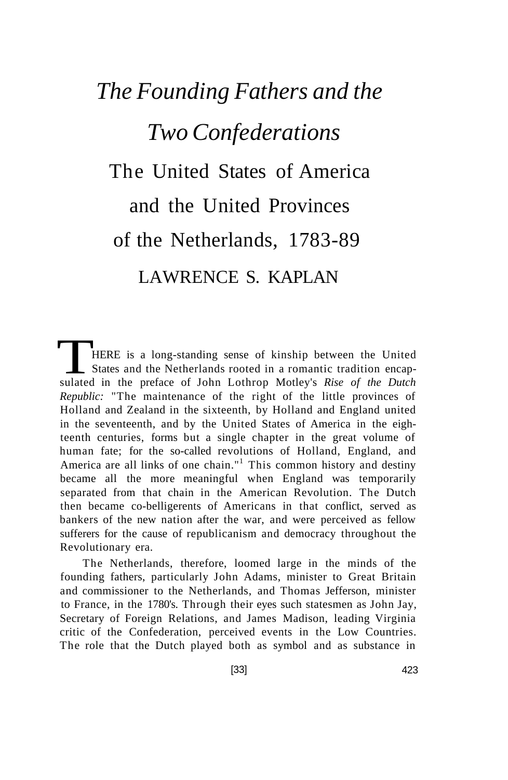# *The Founding Fathers and the Two Confederations*  The United States of America and the United Provinces of the Netherlands, 1783-89 LAWRENCE S. KAPLAN

HERE is a long-standing sense of kinship between the United States and the Netherlands rooted in a romantic tradition encapsulated in the preface of John Lothrop Motley's *Rise of the Dutch* States and the Netherlands rooted in a romantic tradition encap-*Republic:* "The maintenance of the right of the little provinces of Holland and Zealand in the sixteenth, by Holland and England united in the seventeenth, and by the United States of America in the eighteenth centuries, forms but a single chapter in the great volume of human fate; for the so-called revolutions of Holland, England, and America are all links of one chain."<sup>1</sup> This common history and destiny became all the more meaningful when England was temporarily separated from that chain in the American Revolution. The Dutch then became co-belligerents of Americans in that conflict, served as bankers of the new nation after the war, and were perceived as fellow sufferers for the cause of republicanism and democracy throughout the Revolutionary era.

The Netherlands, therefore, loomed large in the minds of the founding fathers, particularly John Adams, minister to Great Britain and commissioner to the Netherlands, and Thomas Jefferson, minister to France, in the 1780's. Through their eyes such statesmen as John Jay, Secretary of Foreign Relations, and James Madison, leading Virginia critic of the Confederation, perceived events in the Low Countries. The role that the Dutch played both as symbol and as substance in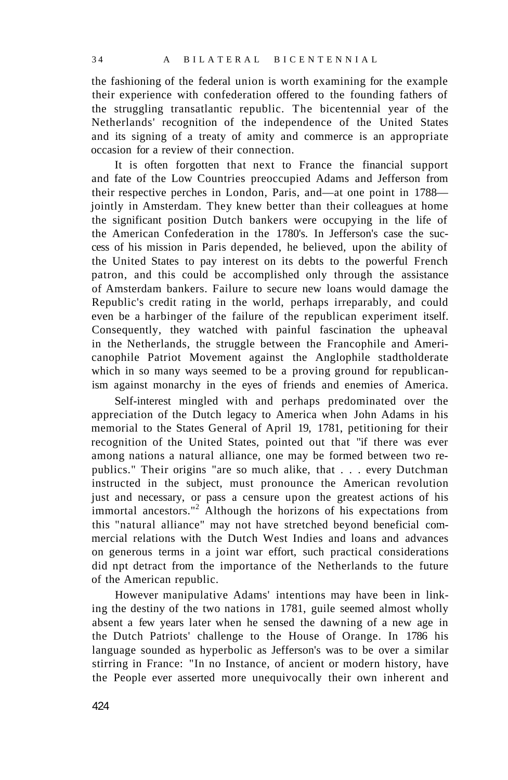the fashioning of the federal union is worth examining for the example their experience with confederation offered to the founding fathers of the struggling transatlantic republic. The bicentennial year of the Netherlands' recognition of the independence of the United States and its signing of a treaty of amity and commerce is an appropriate occasion for a review of their connection.

It is often forgotten that next to France the financial support and fate of the Low Countries preoccupied Adams and Jefferson from their respective perches in London, Paris, and—at one point in 1788 jointly in Amsterdam. They knew better than their colleagues at home the significant position Dutch bankers were occupying in the life of the American Confederation in the 1780's. In Jefferson's case the success of his mission in Paris depended, he believed, upon the ability of the United States to pay interest on its debts to the powerful French patron, and this could be accomplished only through the assistance of Amsterdam bankers. Failure to secure new loans would damage the Republic's credit rating in the world, perhaps irreparably, and could even be a harbinger of the failure of the republican experiment itself. Consequently, they watched with painful fascination the upheaval in the Netherlands, the struggle between the Francophile and Americanophile Patriot Movement against the Anglophile stadtholderate which in so many ways seemed to be a proving ground for republicanism against monarchy in the eyes of friends and enemies of America.

Self-interest mingled with and perhaps predominated over the appreciation of the Dutch legacy to America when John Adams in his memorial to the States General of April 19, 1781, petitioning for their recognition of the United States, pointed out that "if there was ever among nations a natural alliance, one may be formed between two republics." Their origins "are so much alike, that . . . every Dutchman instructed in the subject, must pronounce the American revolution just and necessary, or pass a censure upon the greatest actions of his immortal ancestors."<sup>2</sup> Although the horizons of his expectations from this "natural alliance" may not have stretched beyond beneficial commercial relations with the Dutch West Indies and loans and advances on generous terms in a joint war effort, such practical considerations did npt detract from the importance of the Netherlands to the future of the American republic.

However manipulative Adams' intentions may have been in linking the destiny of the two nations in 1781, guile seemed almost wholly absent a few years later when he sensed the dawning of a new age in the Dutch Patriots' challenge to the House of Orange. In 1786 his language sounded as hyperbolic as Jefferson's was to be over a similar stirring in France: "In no Instance, of ancient or modern history, have the People ever asserted more unequivocally their own inherent and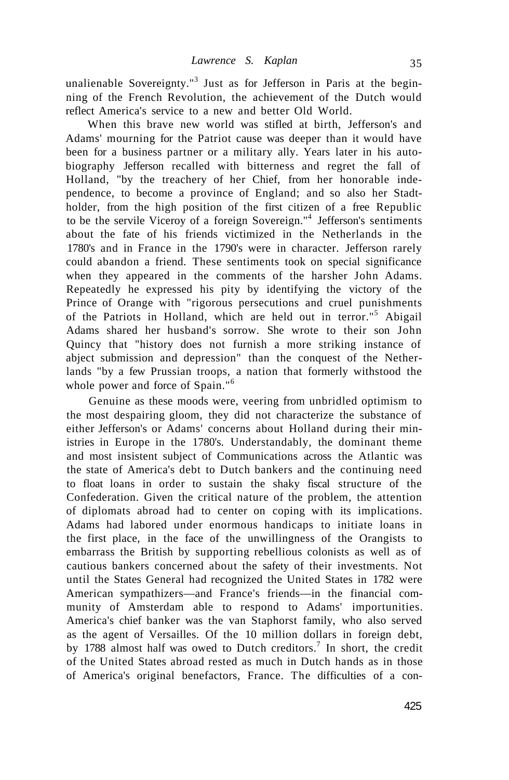unalienable Sovereignty."<sup>3</sup> Just as for Jefferson in Paris at the beginning of the French Revolution, the achievement of the Dutch would reflect America's service to a new and better Old World.

When this brave new world was stifled at birth, Jefferson's and Adams' mourning for the Patriot cause was deeper than it would have been for a business partner or a military ally. Years later in his autobiography Jefferson recalled with bitterness and regret the fall of Holland, "by the treachery of her Chief, from her honorable independence, to become a province of England; and so also her Stadtholder, from the high position of the first citizen of a free Republic to be the servile Viceroy of a foreign Sovereign."<sup>4</sup> Jefferson's sentiments about the fate of his friends victimized in the Netherlands in the 1780's and in France in the 1790's were in character. Jefferson rarely could abandon a friend. These sentiments took on special significance when they appeared in the comments of the harsher John Adams. Repeatedly he expressed his pity by identifying the victory of the Prince of Orange with "rigorous persecutions and cruel punishments of the Patriots in Holland, which are held out in terror."<sup>5</sup> Abigail Adams shared her husband's sorrow. She wrote to their son John Quincy that "history does not furnish a more striking instance of abject submission and depression" than the conquest of the Netherlands "by a few Prussian troops, a nation that formerly withstood the whole power and force of Spain."<sup>6</sup>

Genuine as these moods were, veering from unbridled optimism to the most despairing gloom, they did not characterize the substance of either Jefferson's or Adams' concerns about Holland during their ministries in Europe in the 1780's. Understandably, the dominant theme and most insistent subject of Communications across the Atlantic was the state of America's debt to Dutch bankers and the continuing need to float loans in order to sustain the shaky fiscal structure of the Confederation. Given the critical nature of the problem, the attention of diplomats abroad had to center on coping with its implications. Adams had labored under enormous handicaps to initiate loans in the first place, in the face of the unwillingness of the Orangists to embarrass the British by supporting rebellious colonists as well as of cautious bankers concerned about the safety of their investments. Not until the States General had recognized the United States in 1782 were American sympathizers—and France's friends—in the financial community of Amsterdam able to respond to Adams' importunities. America's chief banker was the van Staphorst family, who also served as the agent of Versailles. Of the 10 million dollars in foreign debt, by 1788 almost half was owed to Dutch creditors.<sup>7</sup> In short, the credit of the United States abroad rested as much in Dutch hands as in those of America's original benefactors, France. The difficulties of a con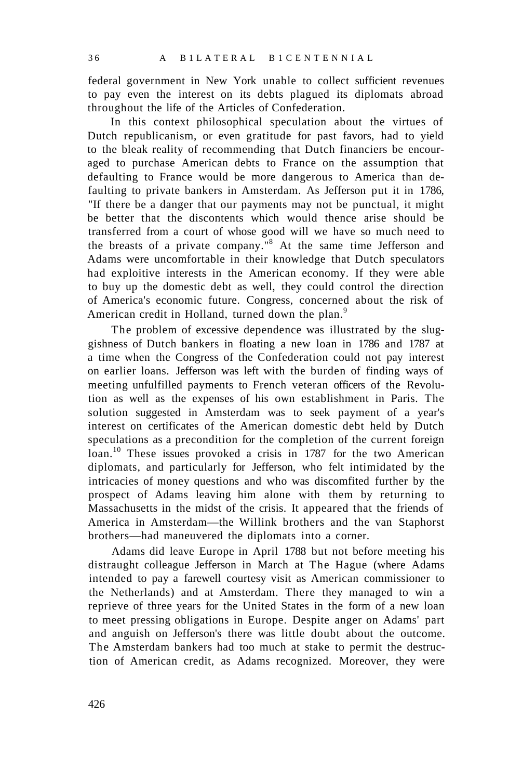federal government in New York unable to collect sufficient revenues to pay even the interest on its debts plagued its diplomats abroad throughout the life of the Articles of Confederation.

In this context philosophical speculation about the virtues of Dutch republicanism, or even gratitude for past favors, had to yield to the bleak reality of recommending that Dutch financiers be encouraged to purchase American debts to France on the assumption that defaulting to France would be more dangerous to America than defaulting to private bankers in Amsterdam. As Jefferson put it in 1786, "If there be a danger that our payments may not be punctual, it might be better that the discontents which would thence arise should be transferred from a court of whose good will we have so much need to the breasts of a private company."<sup>8</sup> At the same time Jefferson and Adams were uncomfortable in their knowledge that Dutch speculators had exploitive interests in the American economy. If they were able to buy up the domestic debt as well, they could control the direction of America's economic future. Congress, concerned about the risk of American credit in Holland, turned down the plan.<sup>9</sup>

The problem of excessive dependence was illustrated by the sluggishness of Dutch bankers in floating a new loan in 1786 and 1787 at a time when the Congress of the Confederation could not pay interest on earlier loans. Jefferson was left with the burden of finding ways of meeting unfulfilled payments to French veteran officers of the Revolution as well as the expenses of his own establishment in Paris. The solution suggested in Amsterdam was to seek payment of a year's interest on certificates of the American domestic debt held by Dutch speculations as a precondition for the completion of the current foreign loan.<sup>10</sup> These issues provoked a crisis in 1787 for the two American diplomats, and particularly for Jefferson, who felt intimidated by the intricacies of money questions and who was discomfited further by the prospect of Adams leaving him alone with them by returning to Massachusetts in the midst of the crisis. It appeared that the friends of America in Amsterdam—the Willink brothers and the van Staphorst brothers—had maneuvered the diplomats into a corner.

Adams did leave Europe in April 1788 but not before meeting his distraught colleague Jefferson in March at The Hague (where Adams intended to pay a farewell courtesy visit as American commissioner to the Netherlands) and at Amsterdam. There they managed to win a reprieve of three years for the United States in the form of a new loan to meet pressing obligations in Europe. Despite anger on Adams' part and anguish on Jefferson's there was little doubt about the outcome. The Amsterdam bankers had too much at stake to permit the destruction of American credit, as Adams recognized. Moreover, they were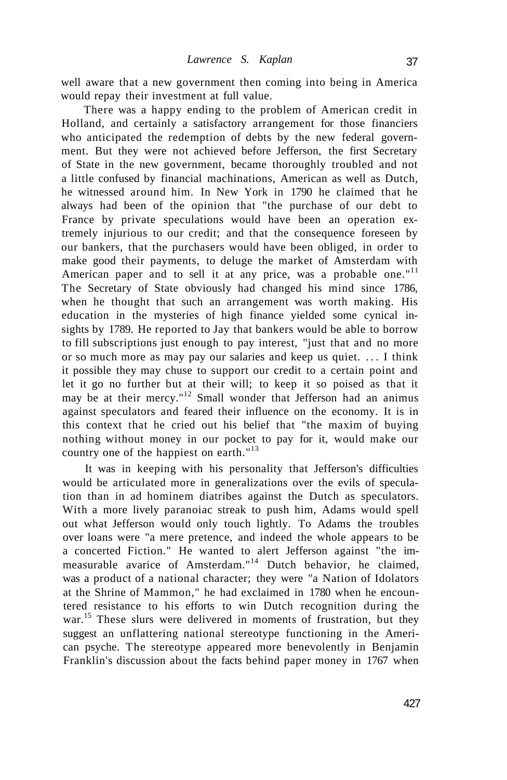well aware that a new government then coming into being in America would repay their investment at full value.

There was a happy ending to the problem of American credit in Holland, and certainly a satisfactory arrangement for those financiers who anticipated the redemption of debts by the new federal government. But they were not achieved before Jefferson, the first Secretary of State in the new government, became thoroughly troubled and not a little confused by financial machinations, American as well as Dutch, he witnessed around him. In New York in 1790 he claimed that he always had been of the opinion that "the purchase of our debt to France by private speculations would have been an operation extremely injurious to our credit; and that the consequence foreseen by our bankers, that the purchasers would have been obliged, in order to make good their payments, to deluge the market of Amsterdam with American paper and to sell it at any price, was a probable one."<sup>11</sup> The Secretary of State obviously had changed his mind since 1786, when he thought that such an arrangement was worth making. His education in the mysteries of high finance yielded some cynical insights by 1789. He reported to Jay that bankers would be able to borrow to fill subscriptions just enough to pay interest, "just that and no more or so much more as may pay our salaries and keep us quiet. .. . I think it possible they may chuse to support our credit to a certain point and let it go no further but at their will; to keep it so poised as that it may be at their mercy."<sup>12</sup> Small wonder that Jefferson had an animus against speculators and feared their influence on the economy. It is in this context that he cried out his belief that "the maxim of buying nothing without money in our pocket to pay for it, would make our country one of the happiest on earth."<sup>13</sup>

It was in keeping with his personality that Jefferson's difficulties would be articulated more in generalizations over the evils of speculation than in ad hominem diatribes against the Dutch as speculators. With a more lively paranoiac streak to push him, Adams would spell out what Jefferson would only touch lightly. To Adams the troubles over loans were "a mere pretence, and indeed the whole appears to be a concerted Fiction." He wanted to alert Jefferson against "the immeasurable avarice of Amsterdam."<sup>14</sup> Dutch behavior, he claimed, was a product of a national character; they were "a Nation of Idolators at the Shrine of Mammon," he had exclaimed in 1780 when he encountered resistance to his efforts to win Dutch recognition during the war.<sup>15</sup> These slurs were delivered in moments of frustration, but they suggest an unflattering national stereotype functioning in the American psyche. The stereotype appeared more benevolently in Benjamin Franklin's discussion about the facts behind paper money in 1767 when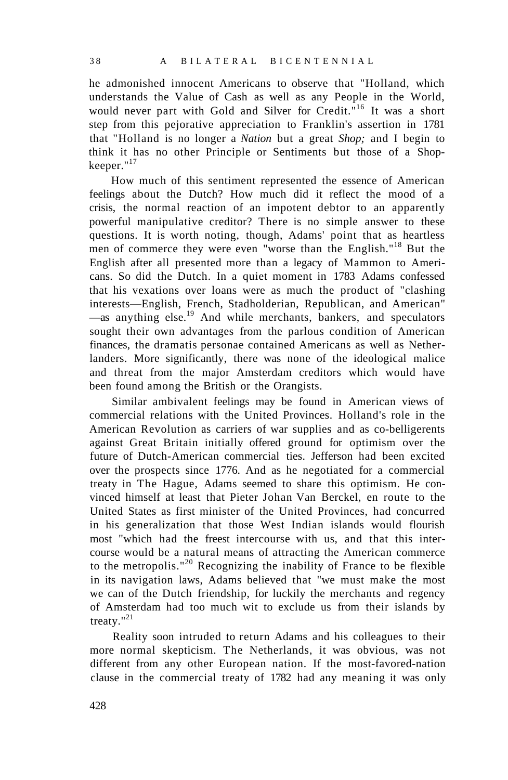he admonished innocent Americans to observe that "Holland, which understands the Value of Cash as well as any People in the World, would never part with Gold and Silver for Credit."<sup>16</sup> It was a short step from this pejorative appreciation to Franklin's assertion in 1781 that "Holland is no longer a *Nation* but a great *Shop;* and I begin to think it has no other Principle or Sentiments but those of a Shopkeeper." $17$ 

How much of this sentiment represented the essence of American feelings about the Dutch? How much did it reflect the mood of a crisis, the normal reaction of an impotent debtor to an apparently powerful manipulative creditor? There is no simple answer to these questions. It is worth noting, though, Adams' point that as heartless men of commerce they were even "worse than the English."<sup>18</sup> But the English after all presented more than a legacy of Mammon to Americans. So did the Dutch. In a quiet moment in 1783 Adams confessed that his vexations over loans were as much the product of "clashing interests—English, French, Stadholderian, Republican, and American"  $\text{---}$ as anything else.<sup>19</sup> And while merchants, bankers, and speculators sought their own advantages from the parlous condition of American finances, the dramatis personae contained Americans as well as Netherlanders. More significantly, there was none of the ideological malice and threat from the major Amsterdam creditors which would have been found among the British or the Orangists.

Similar ambivalent feelings may be found in American views of commercial relations with the United Provinces. Holland's role in the American Revolution as carriers of war supplies and as co-belligerents against Great Britain initially offered ground for optimism over the future of Dutch-American commercial ties. Jefferson had been excited over the prospects since 1776. And as he negotiated for a commercial treaty in The Hague, Adams seemed to share this optimism. He convinced himself at least that Pieter Johan Van Berckel, en route to the United States as first minister of the United Provinces, had concurred in his generalization that those West Indian islands would flourish most "which had the freest intercourse with us, and that this intercourse would be a natural means of attracting the American commerce to the metropolis."<sup>20</sup> Recognizing the inability of France to be flexible in its navigation laws, Adams believed that "we must make the most we can of the Dutch friendship, for luckily the merchants and regency of Amsterdam had too much wit to exclude us from their islands by treaty."<sup>21</sup>

Reality soon intruded to return Adams and his colleagues to their more normal skepticism. The Netherlands, it was obvious, was not different from any other European nation. If the most-favored-nation clause in the commercial treaty of 1782 had any meaning it was only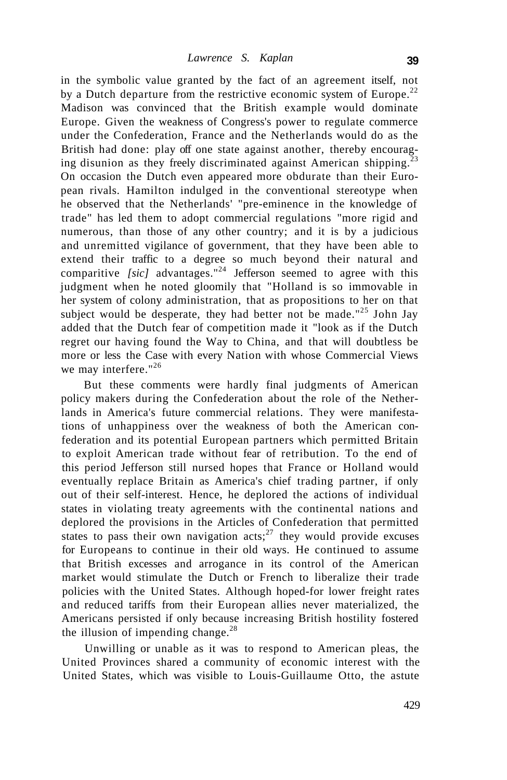in the symbolic value granted by the fact of an agreement itself, not by a Dutch departure from the restrictive economic system of Europe.<sup>22</sup> Madison was convinced that the British example would dominate Europe. Given the weakness of Congress's power to regulate commerce under the Confederation, France and the Netherlands would do as the British had done: play off one state against another, thereby encouraging disunion as they freely discriminated against American shipping.<sup>23</sup> On occasion the Dutch even appeared more obdurate than their European rivals. Hamilton indulged in the conventional stereotype when he observed that the Netherlands' "pre-eminence in the knowledge of trade" has led them to adopt commercial regulations "more rigid and numerous, than those of any other country; and it is by a judicious and unremitted vigilance of government, that they have been able to extend their traffic to a degree so much beyond their natural and comparitive [sic] advantages."<sup>24</sup> Jefferson seemed to agree with this judgment when he noted gloomily that "Holland is so immovable in her system of colony administration, that as propositions to her on that subject would be desperate, they had better not be made."<sup>25</sup> John Jay added that the Dutch fear of competition made it "look as if the Dutch regret our having found the Way to China, and that will doubtless be more or less the Case with every Nation with whose Commercial Views we may interfere."<sup>26</sup>

But these comments were hardly final judgments of American policy makers during the Confederation about the role of the Netherlands in America's future commercial relations. They were manifestations of unhappiness over the weakness of both the American confederation and its potential European partners which permitted Britain to exploit American trade without fear of retribution. To the end of this period Jefferson still nursed hopes that France or Holland would eventually replace Britain as America's chief trading partner, if only out of their self-interest. Hence, he deplored the actions of individual states in violating treaty agreements with the continental nations and deplored the provisions in the Articles of Confederation that permitted states to pass their own navigation  $\arctan x^{27}$  they would provide excuses for Europeans to continue in their old ways. He continued to assume that British excesses and arrogance in its control of the American market would stimulate the Dutch or French to liberalize their trade policies with the United States. Although hoped-for lower freight rates and reduced tariffs from their European allies never materialized, the Americans persisted if only because increasing British hostility fostered the illusion of impending change. $28$ 

Unwilling or unable as it was to respond to American pleas, the United Provinces shared a community of economic interest with the United States, which was visible to Louis-Guillaume Otto, the astute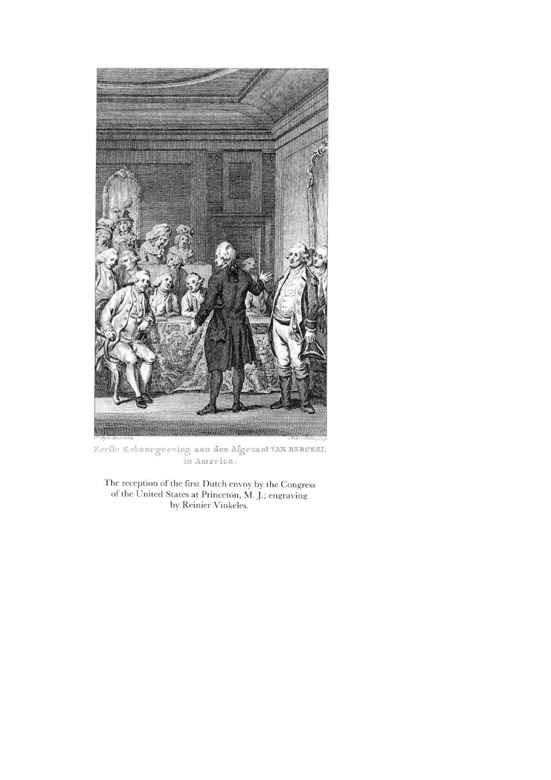

Kerfte Gehoorgeeving aan den Afgezant van BERCKEL in America.

The reception of the first Dutch envoy by the Congress of the United States at Princeton, M. J.; engraving by Reinier Vinkeles.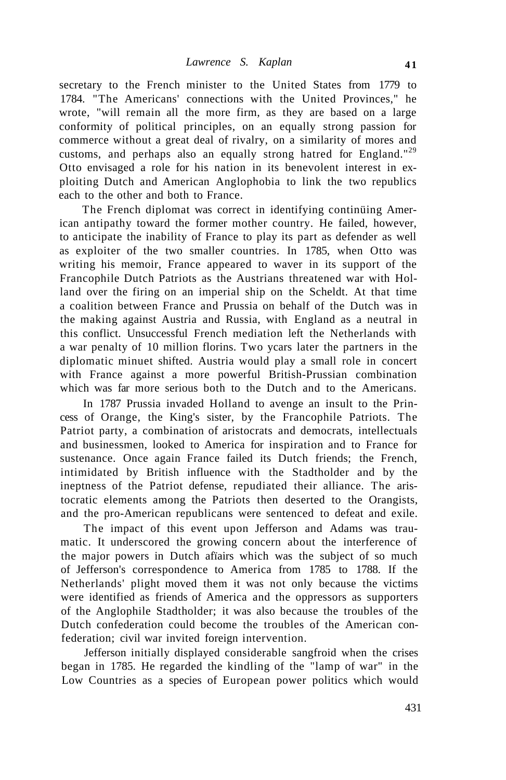secretary to the French minister to the United States from 1779 to 1784. "The Americans' connections with the United Provinces," he wrote, "will remain all the more firm, as they are based on a large conformity of political principles, on an equally strong passion for commerce without a great deal of rivalry, on a similarity of mores and customs, and perhaps also an equally strong hatred for England."<sup>29</sup> Otto envisaged a role for his nation in its benevolent interest in exploiting Dutch and American Anglophobia to link the two republics each to the other and both to France.

The French diplomat was correct in identifying continüing American antipathy toward the former mother country. He failed, however, to anticipate the inability of France to play its part as defender as well as exploiter of the two smaller countries. In 1785, when Otto was writing his memoir, France appeared to waver in its support of the Francophile Dutch Patriots as the Austrians threatened war with Holland over the firing on an imperial ship on the Scheldt. At that time a coalition between France and Prussia on behalf of the Dutch was in the making against Austria and Russia, with England as a neutral in this conflict. Unsuccessful French mediation left the Netherlands with a war penalty of 10 million florins. Two ycars later the partners in the diplomatic minuet shifted. Austria would play a small role in concert with France against a more powerful British-Prussian combination which was far more serious both to the Dutch and to the Americans.

In 1787 Prussia invaded Holland to avenge an insult to the Princess of Orange, the King's sister, by the Francophile Patriots. The Patriot party, a combination of aristocrats and democrats, intellectuals and businessmen, looked to America for inspiration and to France for sustenance. Once again France failed its Dutch friends; the French, intimidated by British influence with the Stadtholder and by the ineptness of the Patriot defense, repudiated their alliance. The aristocratic elements among the Patriots then deserted to the Orangists, and the pro-American republicans were sentenced to defeat and exile.

The impact of this event upon Jefferson and Adams was traumatic. It underscored the growing concern about the interference of the major powers in Dutch afïairs which was the subject of so much of Jefferson's correspondence to America from 1785 to 1788. If the Netherlands' plight moved them it was not only because the victims were identified as friends of America and the oppressors as supporters of the Anglophile Stadtholder; it was also because the troubles of the Dutch confederation could become the troubles of the American confederation; civil war invited foreign intervention.

Jefferson initially displayed considerable sangfroid when the crises began in 1785. He regarded the kindling of the "lamp of war" in the Low Countries as a species of European power politics which would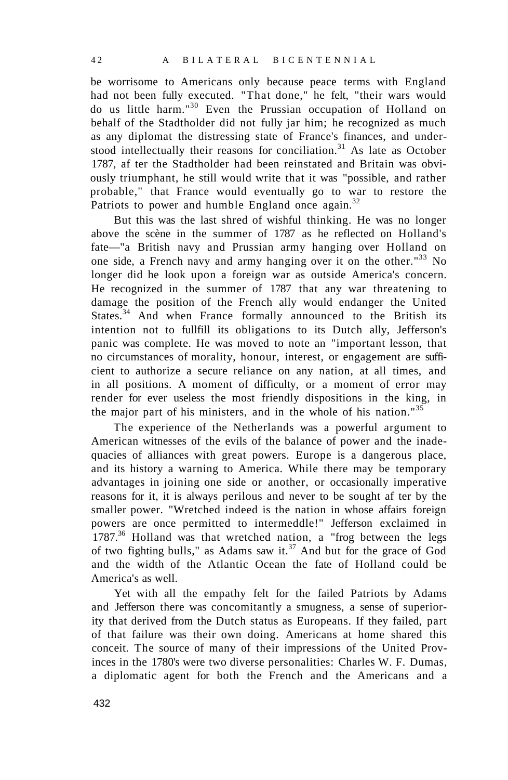be worrisome to Americans only because peace terms with England had not been fully executed. "That done," he felt, "their wars would do us little harm."<sup>30</sup> Even the Prussian occupation of Holland on behalf of the Stadtholder did not fully jar him; he recognized as much as any diplomat the distressing state of France's finances, and understood intellectually their reasons for conciliation.<sup>31</sup> As late as October 1787, af ter the Stadtholder had been reinstated and Britain was obviously triumphant, he still would write that it was "possible, and rather probable," that France would eventually go to war to restore the Patriots to power and humble England once again.<sup>32</sup>

But this was the last shred of wishful thinking. He was no longer above the scène in the summer of 1787 as he reflected on Holland's fate—"a British navy and Prussian army hanging over Holland on one side, a French navy and army hanging over it on the other."<sup>33</sup> No longer did he look upon a foreign war as outside America's concern. He recognized in the summer of 1787 that any war threatening to damage the position of the French ally would endanger the United States.<sup>34</sup> And when France formally announced to the British its intention not to fullfill its obligations to its Dutch ally, Jefferson's panic was complete. He was moved to note an "important lesson, that no circumstances of morality, honour, interest, or engagement are sufficient to authorize a secure reliance on any nation, at all times, and in all positions. A moment of difficulty, or a moment of error may render for ever useless the most friendly dispositions in the king, in the major part of his ministers, and in the whole of his nation." $35$ 

The experience of the Netherlands was a powerful argument to American witnesses of the evils of the balance of power and the inadequacies of alliances with great powers. Europe is a dangerous place, and its history a warning to America. While there may be temporary advantages in joining one side or another, or occasionally imperative reasons for it, it is always perilous and never to be sought af ter by the smaller power. "Wretched indeed is the nation in whose affairs foreign powers are once permitted to intermeddle!" Jefferson exclaimed in 1787.<sup>36</sup> Holland was that wretched nation, a "frog between the legs of two fighting bulls," as Adams saw it.<sup>37</sup> And but for the grace of God and the width of the Atlantic Ocean the fate of Holland could be America's as well.

Yet with all the empathy felt for the failed Patriots by Adams and Jefferson there was concomitantly a smugness, a sense of superiority that derived from the Dutch status as Europeans. If they failed, part of that failure was their own doing. Americans at home shared this conceit. The source of many of their impressions of the United Provinces in the 1780's were two diverse personalities: Charles W. F. Dumas, a diplomatic agent for both the French and the Americans and a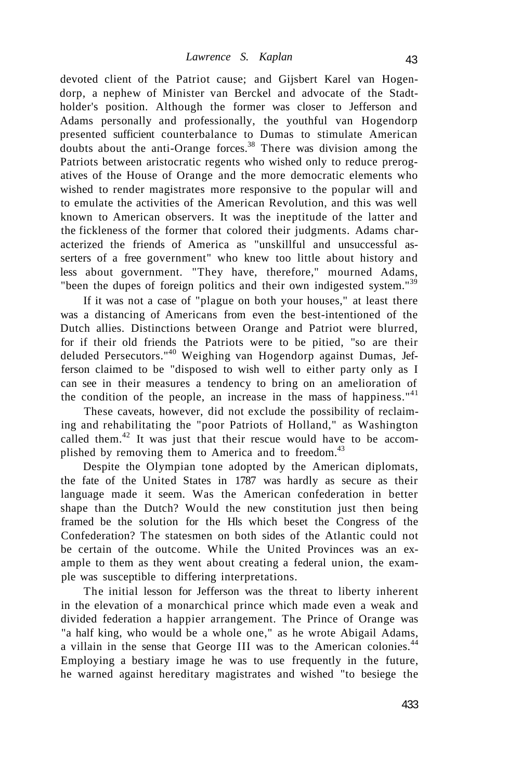devoted client of the Patriot cause; and Gijsbert Karel van Hogendorp, a nephew of Minister van Berckel and advocate of the Stadtholder's position. Although the former was closer to Jefferson and Adams personally and professionally, the youthful van Hogendorp presented sufficient counterbalance to Dumas to stimulate American doubts about the anti-Orange forces.<sup>38</sup> There was division among the Patriots between aristocratic regents who wished only to reduce prerogatives of the House of Orange and the more democratic elements who wished to render magistrates more responsive to the popular will and to emulate the activities of the American Revolution, and this was well known to American observers. It was the ineptitude of the latter and the fickleness of the former that colored their judgments. Adams characterized the friends of America as "unskillful and unsuccessful asserters of a free government" who knew too little about history and less about government. "They have, therefore," mourned Adams, "been the dupes of foreign politics and their own indigested system."<sup>39</sup>

If it was not a case of "plague on both your houses," at least there was a distancing of Americans from even the best-intentioned of the Dutch allies. Distinctions between Orange and Patriot were blurred, for if their old friends the Patriots were to be pitied, "so are their deluded Persecutors."<sup>40</sup> Weighing van Hogendorp against Dumas, Jefferson claimed to be "disposed to wish well to either party only as I can see in their measures a tendency to bring on an amelioration of the condition of the people, an increase in the mass of happiness. $141$ 

These caveats, however, did not exclude the possibility of reclaiming and rehabilitating the "poor Patriots of Holland," as Washington called them.<sup>42</sup> It was just that their rescue would have to be accomplished by removing them to America and to freedom.<sup>43</sup>

Despite the Olympian tone adopted by the American diplomats, the fate of the United States in 1787 was hardly as secure as their language made it seem. Was the American confederation in better shape than the Dutch? Would the new constitution just then being framed be the solution for the Hls which beset the Congress of the Confederation? The statesmen on both sides of the Atlantic could not be certain of the outcome. While the United Provinces was an example to them as they went about creating a federal union, the example was susceptible to differing interpretations.

The initial lesson for Jefferson was the threat to liberty inherent in the elevation of a monarchical prince which made even a weak and divided federation a happier arrangement. The Prince of Orange was "a half king, who would be a whole one," as he wrote Abigail Adams, a villain in the sense that George III was to the American colonies.<sup>44</sup> Employing a bestiary image he was to use frequently in the future, he warned against hereditary magistrates and wished "to besiege the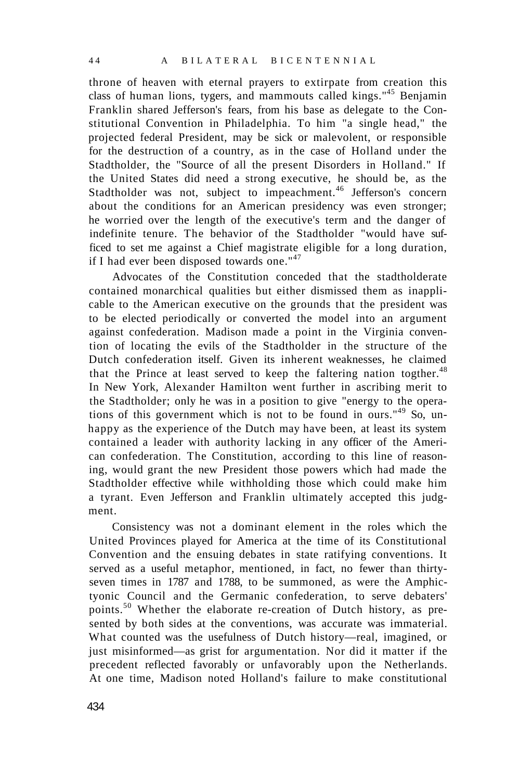throne of heaven with eternal prayers to extirpate from creation this class of human lions, tygers, and mammouts called kings."<sup>45</sup> Benjamin Franklin shared Jefferson's fears, from his base as delegate to the Constitutional Convention in Philadelphia. To him "a single head," the projected federal President, may be sick or malevolent, or responsible for the destruction of a country, as in the case of Holland under the Stadtholder, the "Source of all the present Disorders in Holland." If the United States did need a strong executive, he should be, as the Stadtholder was not, subject to impeachment.<sup>46</sup> Jefferson's concern about the conditions for an American presidency was even stronger; he worried over the length of the executive's term and the danger of indefinite tenure. The behavior of the Stadtholder "would have sufficed to set me against a Chief magistrate eligible for a long duration, if I had ever been disposed towards one." $47$ 

Advocates of the Constitution conceded that the stadtholderate contained monarchical qualities but either dismissed them as inapplicable to the American executive on the grounds that the president was to be elected periodically or converted the model into an argument against confederation. Madison made a point in the Virginia convention of locating the evils of the Stadtholder in the structure of the Dutch confederation itself. Given its inherent weaknesses, he claimed that the Prince at least served to keep the faltering nation togther.<sup>48</sup> In New York, Alexander Hamilton went further in ascribing merit to the Stadtholder; only he was in a position to give "energy to the operations of this government which is not to be found in ours."<sup>49</sup> So, unhappy as the experience of the Dutch may have been, at least its system contained a leader with authority lacking in any officer of the American confederation. The Constitution, according to this line of reasoning, would grant the new President those powers which had made the Stadtholder effective while withholding those which could make him a tyrant. Even Jefferson and Franklin ultimately accepted this judgment.

Consistency was not a dominant element in the roles which the United Provinces played for America at the time of its Constitutional Convention and the ensuing debates in state ratifying conventions. It served as a useful metaphor, mentioned, in fact, no fewer than thirtyseven times in 1787 and 1788, to be summoned, as were the Amphictyonic Council and the Germanic confederation, to serve debaters' points.<sup>50</sup> Whether the elaborate re-creation of Dutch history, as presented by both sides at the conventions, was accurate was immaterial. What counted was the usefulness of Dutch history—real, imagined, or just misinformed—as grist for argumentation. Nor did it matter if the precedent reflected favorably or unfavorably upon the Netherlands. At one time, Madison noted Holland's failure to make constitutional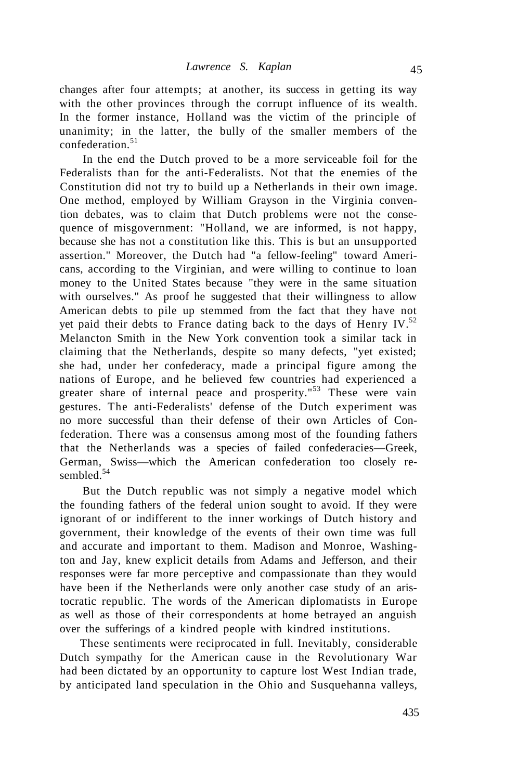changes after four attempts; at another, its success in getting its way with the other provinces through the corrupt influence of its wealth. In the former instance, Holland was the victim of the principle of unanimity; in the latter, the bully of the smaller members of the confederation.<sup>51</sup>

In the end the Dutch proved to be a more serviceable foil for the Federalists than for the anti-Federalists. Not that the enemies of the Constitution did not try to build up a Netherlands in their own image. One method, employed by William Grayson in the Virginia convention debates, was to claim that Dutch problems were not the consequence of misgovernment: "Holland, we are informed, is not happy, because she has not a constitution like this. This is but an unsupported assertion." Moreover, the Dutch had "a fellow-feeling" toward Americans, according to the Virginian, and were willing to continue to loan money to the United States because "they were in the same situation with ourselves." As proof he suggested that their willingness to allow American debts to pile up stemmed from the fact that they have not yet paid their debts to France dating back to the days of Henry IV.<sup>52</sup> Melancton Smith in the New York convention took a similar tack in claiming that the Netherlands, despite so many defects, "yet existed; she had, under her confederacy, made a principal figure among the nations of Europe, and he believed few countries had experienced a greater share of internal peace and prosperity."<sup>53</sup> These were vain gestures. The anti-Federalists' defense of the Dutch experiment was no more successful than their defense of their own Articles of Confederation. There was a consensus among most of the founding fathers that the Netherlands was a species of failed confederacies—Greek, German, Swiss—which the American confederation too closely resembled.<sup>54</sup>

But the Dutch republic was not simply a negative model which the founding fathers of the federal union sought to avoid. If they were ignorant of or indifferent to the inner workings of Dutch history and government, their knowledge of the events of their own time was full and accurate and important to them. Madison and Monroe, Washington and Jay, knew explicit details from Adams and Jefferson, and their responses were far more perceptive and compassionate than they would have been if the Netherlands were only another case study of an aristocratic republic. The words of the American diplomatists in Europe as well as those of their correspondents at home betrayed an anguish over the sufferings of a kindred people with kindred institutions.

These sentiments were reciprocated in full. Inevitably, considerable Dutch sympathy for the American cause in the Revolutionary War had been dictated by an opportunity to capture lost West Indian trade, by anticipated land speculation in the Ohio and Susquehanna valleys,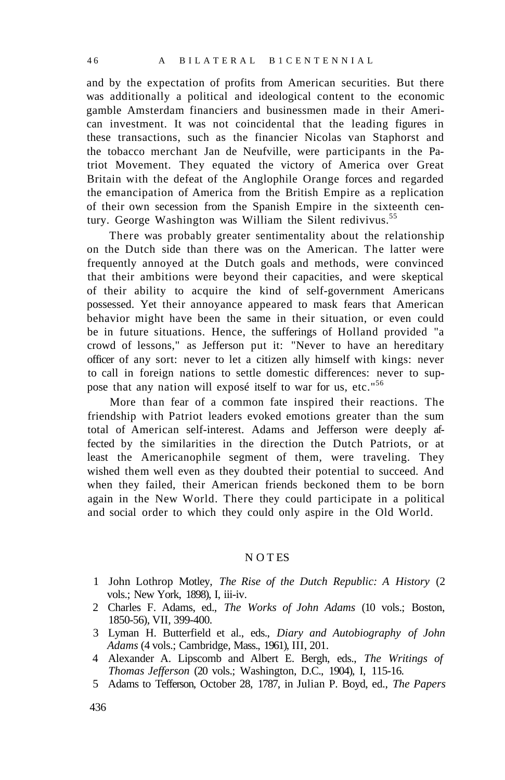and by the expectation of profits from American securities. But there was additionally a political and ideological content to the economic gamble Amsterdam financiers and businessmen made in their American investment. It was not coincidental that the leading figures in these transactions, such as the financier Nicolas van Staphorst and the tobacco merchant Jan de Neufville, were participants in the Patriot Movement. They equated the victory of America over Great Britain with the defeat of the Anglophile Orange forces and regarded the emancipation of America from the British Empire as a replication of their own secession from the Spanish Empire in the sixteenth century. George Washington was William the Silent redivivus.<sup>55</sup>

There was probably greater sentimentality about the relationship on the Dutch side than there was on the American. The latter were frequently annoyed at the Dutch goals and methods, were convinced that their ambitions were beyond their capacities, and were skeptical of their ability to acquire the kind of self-government Americans possessed. Yet their annoyance appeared to mask fears that American behavior might have been the same in their situation, or even could be in future situations. Hence, the sufferings of Holland provided "a crowd of lessons," as Jefferson put it: "Never to have an hereditary officer of any sort: never to let a citizen ally himself with kings: never to call in foreign nations to settle domestic differences: never to suppose that any nation will exposé itself to war for us, etc."<sup>5</sup><sup>6</sup>

More than fear of a common fate inspired their reactions. The friendship with Patriot leaders evoked emotions greater than the sum total of American self-interest. Adams and Jefferson were deeply affected by the similarities in the direction the Dutch Patriots, or at least the Americanophile segment of them, were traveling. They wished them well even as they doubted their potential to succeed. And when they failed, their American friends beckoned them to be born again in the New World. There they could participate in a political and social order to which they could only aspire in the Old World.

#### N O T ES

- 1 John Lothrop Motley, *The Rise of the Dutch Republic: A History* (2 vols.; New York, 1898), I, iii-iv.
- 2 Charles F. Adams, ed., *The Works of John Adams* (10 vols.; Boston, 1850-56), VII, 399-400.
- 3 Lyman H. Butterfield et al., eds., *Diary and Autobiography of John Adams* (4 vols.; Cambridge, Mass., 1961), III, 201.
- 4 Alexander A. Lipscomb and Albert E. Bergh, eds., *The Writings of Thomas Jefferson* (20 vols.; Washington, D.C., 1904), I, 115-16.
- 5 Adams to Tefferson, October 28, 1787, in Julian P. Boyd, ed., *The Papers*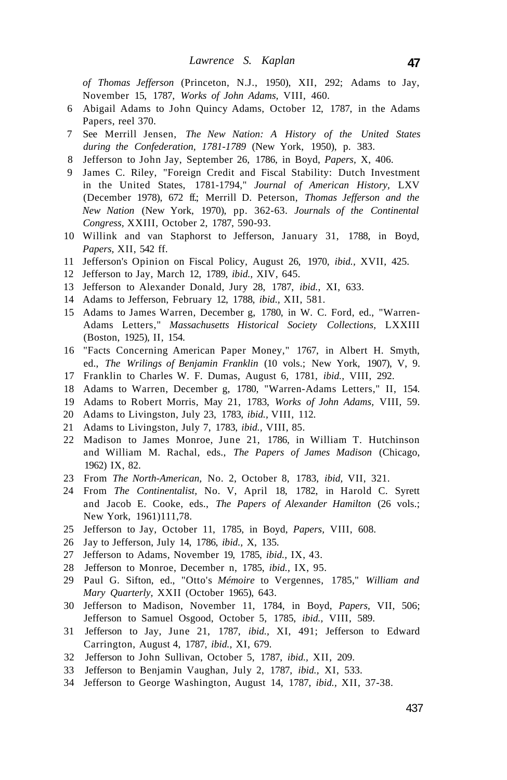*of Thomas Jefferson* (Princeton, N.J., 1950), XII, 292; Adams to Jay, November 15, 1787, *Works of John Adams,* VIII, 460.

- 6 Abigail Adams to John Quincy Adams, October 12, 1787, in the Adams Papers, reel 370.
- 7 See Merrill Jensen, *The New Nation: A History of the United States during the Confederation, 1781-1789* (New York, 1950), p. 383.
- 8 Jefferson to John Jay, September 26, 1786, in Boyd, *Papers,* X, 406.
- 9 James C. Riley, "Foreign Credit and Fiscal Stability: Dutch Investment in the United States, 1781-1794," *Journal of American History,* LXV (December 1978), 672 ff.; Merrill D. Peterson, *Thomas Jefferson and the New Nation* (New York, 1970), pp. 362-63. *Journals of the Continental Congress,* XXIII, October 2, 1787, 590-93.
- 10 Willink and van Staphorst to Jefferson, January 31, 1788, in Boyd, *Papers,* XII, 542 ff.
- 11 Jefferson's Opinion on Fiscal Policy, August 26, 1970, *ibid.,* XVII, 425.
- 12 Jefferson to Jay, March 12, 1789, *ibid.,* XIV, 645.
- 13 Jefferson to Alexander Donald, Jury 28, 1787, *ibid.,* XI, 633.
- 14 Adams to Jefferson, February 12, 1788, *ibid.,* XII, 581.
- 15 Adams to James Warren, December g, 1780, in W. C. Ford, ed., "Warren-Adams Letters," *Massachusetts Historical Society Collections,* LXXIII (Boston, 1925), II, 154.
- 16 "Facts Concerning American Paper Money," 1767, in Albert H. Smyth, ed., *The Wrilings of Benjamin Franklin* (10 vols.; New York, 1907), V, 9.
- 17 Franklin to Charles W. F. Dumas, August 6, 1781, *ibid.,* VIII, 292.
- 18 Adams to Warren, December g, 1780, "Warren-Adams Letters," II, 154.
- 19 Adams to Robert Morris, May 21, 1783, *Works of John Adams,* VIII, 59.
- 20 Adams to Livingston, July 23, 1783, *ibid.,* VIII, 112.
- 21 Adams to Livingston, July 7, 1783, *ibid.,* VIII, 85.
- 22 Madison to James Monroe, June 21, 1786, in William T. Hutchinson and William M. Rachal, eds., *The Papers of James Madison* (Chicago, 1962) IX, 82.
- 23 From *The North-American,* No. 2, October 8, 1783, *ibid,* VII, 321.
- 24 From *The Continentalist,* No. V, April 18, 1782, in Harold C. Syrett and Jacob E. Cooke, eds., *The Papers of Alexander Hamilton* (26 vols.; New York, 1961)111,78.
- 25 Jefferson to Jay, October 11, 1785, in Boyd, *Papers,* VIII, 608.
- 26 Jay to Jefferson, July 14, 1786, *ibid.,* X, 135.
- 27 Jefferson to Adams, November 19, 1785, *ibid.,* IX, 43.
- 28 Jefferson to Monroe, December n, 1785, *ibid.,* IX, 95.
- 29 Paul G. Sifton, ed., "Otto's *Mémoire* to Vergennes, 1785," *William and Mary Quarterly,* XXII (October 1965), 643.
- 30 Jefferson to Madison, November 11, 1784, in Boyd, *Papers,* VII, 506; Jefferson to Samuel Osgood, October 5, 1785, *ibid.,* VIII, 589.
- 31 Jefferson to Jay, June 21, 1787, *ibid.,* XI, 491; Jefferson to Edward Carrington, August 4, 1787, *ibid.,* XI, 679.
- 32 Jefferson to John Sullivan, October 5, 1787, *ibid.,* XII, 209.
- 33 Jefferson to Benjamin Vaughan, July 2, 1787, *ibid.,* XI, 533.
- 34 Jefferson to George Washington, August 14, 1787, *ibid.,* XII, 37-38.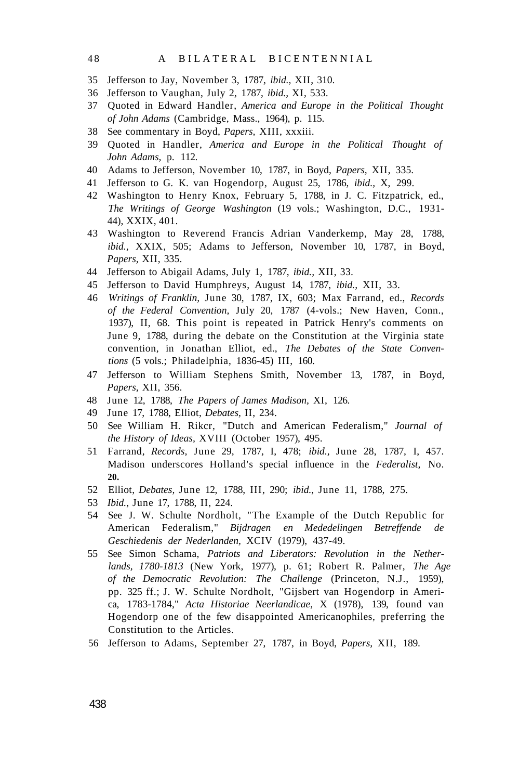#### 48 A BILATERAL BICENTENNIAL

- 35 Jefferson to Jay, November 3, 1787, *ibid.,* XII, 310.
- 36 Jefferson to Vaughan, July 2, 1787, *ibid.,* XI, 533.
- 37 Quoted in Edward Handler, *America and Europe in the Political Thought of John Adams* (Cambridge, Mass., 1964), p. 115.
- 38 See commentary in Boyd, *Papers,* XIII, xxxiii.
- 39 Quoted in Handler, *America and Europe in the Political Thought of John Adams,* p. 112.
- 40 Adams to Jefferson, November 10, 1787, in Boyd, *Papers,* XII, 335.
- 41 Jefferson to G. K. van Hogendorp, August 25, 1786, *ibid.,* X, 299.
- 42 Washington to Henry Knox, February 5, 1788, in J. C. Fitzpatrick, ed., *The Writings of George Washington* (19 vols.; Washington, D.C., 1931- 44), XXIX, 401.
- 43 Washington to Reverend Francis Adrian Vanderkemp, May 28, 1788, *ibid.,* XXIX, 505; Adams to Jefferson, November 10, 1787, in Boyd, *Papers,* XII, 335.
- 44 Jefferson to Abigail Adams, July 1, 1787, *ibid.,* XII, 33.
- 45 Jefferson to David Humphreys, August 14, 1787, *ibid.,* XII, 33.
- 46 *Writings of Franklin,* June 30, 1787, IX, 603; Max Farrand, ed., *Records of the Federal Convention,* July 20, 1787 (4-vols.; New Haven, Conn., 1937), II, 68. This point is repeated in Patrick Henry's comments on June 9, 1788, during the debate on the Constitution at the Virginia state convention, in Jonathan Elliot, ed., *The Debates of the State Conventions* (5 vols.; Philadelphia, 1836-45) III, 160.
- 47 Jefferson to William Stephens Smith, November 13, 1787, in Boyd, *Papers,* XII, 356.
- 48 June 12, 1788, *The Papers of James Madison,* XI, 126.
- 49 June 17, 1788, Elliot, *Debates,* II, 234.
- 50 See William H. Rikcr, "Dutch and American Federalism," *Journal of the History of Ideas,* XVIII (October 1957), 495.
- 51 Farrand, *Records,* June 29, 1787, I, 478; *ibid.,* June 28, 1787, I, 457. Madison underscores Holland's special influence in the *Federalist,* No. **20.**
- 52 Elliot, *Debates,* June 12, 1788, III, 290; *ibid.,* June 11, 1788, 275.
- 53 *Ibid.,* June 17, 1788, II, 224.
- 54 See J. W. Schulte Nordholt, "The Example of the Dutch Republic for American Federalism," *Bijdragen en Mededelingen Betreffende de Geschiedenis der Nederlanden,* XCIV (1979), 437-49.
- 55 See Simon Schama, *Patriots and Liberators: Revolution in the Netherlands, 1780-1813* (New York, 1977), p. 61; Robert R. Palmer, *The Age of the Democratic Revolution: The Challenge* (Princeton, N.J., 1959), pp. 325 ff.; J. W. Schulte Nordholt, "Gijsbert van Hogendorp in America, 1783-1784," *Acta Historiae Neerlandicae,* X (1978), 139, found van Hogendorp one of the few disappointed Americanophiles, preferring the Constitution to the Articles.
- 56 Jefferson to Adams, September 27, 1787, in Boyd, *Papers,* XII, 189.